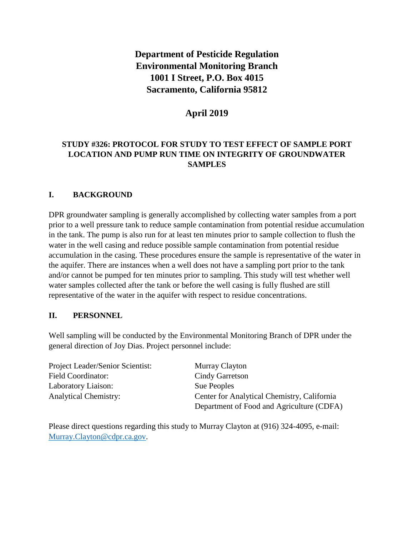# **Department of Pesticide Regulation Environmental Monitoring Branch 1001 I Street, P.O. Box 4015 Sacramento, California 95812**

# **April 2019**

## **STUDY #326: PROTOCOL FOR STUDY TO TEST EFFECT OF SAMPLE PORT LOCATION AND PUMP RUN TIME ON INTEGRITY OF GROUNDWATER SAMPLES**

#### **I. BACKGROUND**

DPR groundwater sampling is generally accomplished by collecting water samples from a port prior to a well pressure tank to reduce sample contamination from potential residue accumulation in the tank. The pump is also run for at least ten minutes prior to sample collection to flush the water in the well casing and reduce possible sample contamination from potential residue accumulation in the casing. These procedures ensure the sample is representative of the water in the aquifer. There are instances when a well does not have a sampling port prior to the tank and/or cannot be pumped for ten minutes prior to sampling. This study will test whether well water samples collected after the tank or before the well casing is fully flushed are still representative of the water in the aquifer with respect to residue concentrations.

#### **II. PERSONNEL**

Well sampling will be conducted by the Environmental Monitoring Branch of DPR under the general direction of Joy Dias. Project personnel include:

Project Leader/Senior Scientist: Murray Clayton Field Coordinator: Cindy Garretson Laboratory Liaison: Sue Peoples

Analytical Chemistry: Center for Analytical Chemistry, California Department of Food and Agriculture (CDFA)

Please direct questions regarding this study to Murray Clayton at (916) 324-4095, e-mail: [Murray.Clayton@cdpr.ca.gov.](mailto:Murray.Clayton@cdpr.ca.gov)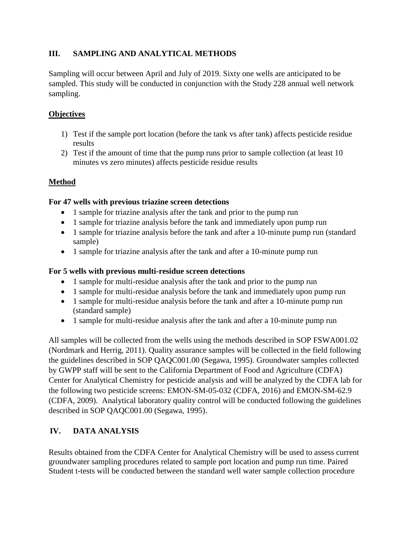# **III. SAMPLING AND ANALYTICAL METHODS**

Sampling will occur between April and July of 2019. Sixty one wells are anticipated to be sampled. This study will be conducted in conjunction with the Study 228 annual well network sampling.

## **Objectives**

- 1) Test if the sample port location (before the tank vs after tank) affects pesticide residue results
- 2) Test if the amount of time that the pump runs prior to sample collection (at least 10 minutes vs zero minutes) affects pesticide residue results

## **Method**

#### **For 47 wells with previous triazine screen detections**

- 1 sample for triazine analysis after the tank and prior to the pump run
- 1 sample for triazine analysis before the tank and immediately upon pump run
- 1 sample for triazine analysis before the tank and after a 10-minute pump run (standard sample)
- 1 sample for triazine analysis after the tank and after a 10-minute pump run

#### **For 5 wells with previous multi-residue screen detections**

- 1 sample for multi-residue analysis after the tank and prior to the pump run
- 1 sample for multi-residue analysis before the tank and immediately upon pump run
- 1 sample for multi-residue analysis before the tank and after a 10-minute pump run (standard sample)
- 1 sample for multi-residue analysis after the tank and after a 10-minute pump run

All samples will be collected from the wells using the methods described in SOP FSWA001.02 (Nordmark and Herrig, 2011). Quality assurance samples will be collected in the field following the guidelines described in SOP QAQC001.00 (Segawa, 1995). Groundwater samples collected by GWPP staff will be sent to the California Department of Food and Agriculture (CDFA) Center for Analytical Chemistry for pesticide analysis and will be analyzed by the CDFA lab for the following two pesticide screens: EMON-SM-05-032 (CDFA, 2016) and EMON-SM-62.9 (CDFA, 2009). Analytical laboratory quality control will be conducted following the guidelines described in SOP QAQC001.00 (Segawa, 1995).

# **IV. DATA ANALYSIS**

Results obtained from the CDFA Center for Analytical Chemistry will be used to assess current groundwater sampling procedures related to sample port location and pump run time. Paired Student t-tests will be conducted between the standard well water sample collection procedure